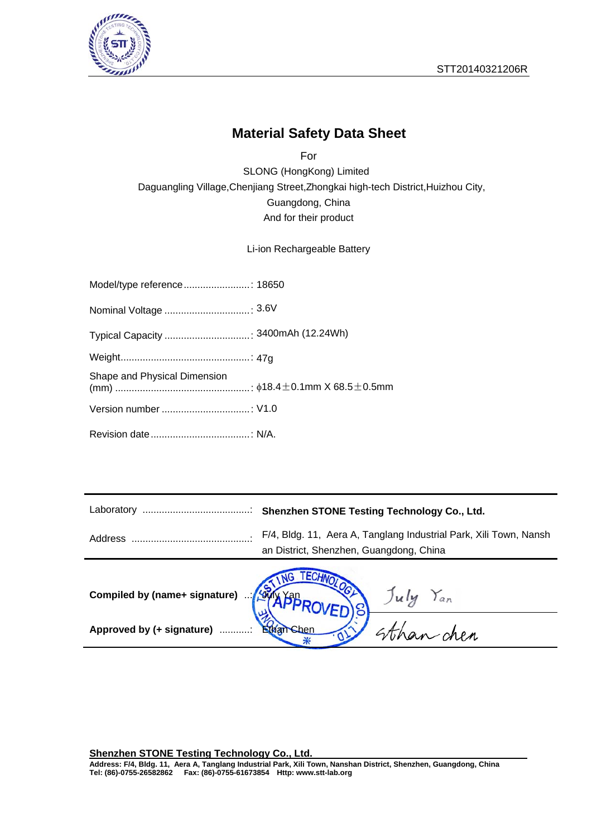



### **Material Safety Data Sheet**

Daguangling Village, Chenjiang Street, Zhongkai high-tech District, Huizhou City, SLONG (HongKong) Limited For Guangdong, China And for their product

Li-ion Rechargeable Battery

| Shape and Physical Dimension |  |
|------------------------------|--|
|                              |  |
|                              |  |

| Address                       | F/4, Bldg. 11, Aera A, Tanglang Industrial Park, Xili Town, Nansh<br>an District, Shenzhen, Guangdong, China |
|-------------------------------|--------------------------------------------------------------------------------------------------------------|
| Compiled by (name+ signature) | <b>ASYA YOR</b><br>July Yan                                                                                  |
| Approved by (+ signature)     | <b>Ethan Chen</b><br>atchan chen                                                                             |

**Shenzhen STONE Testing Technology Co., Ltd.**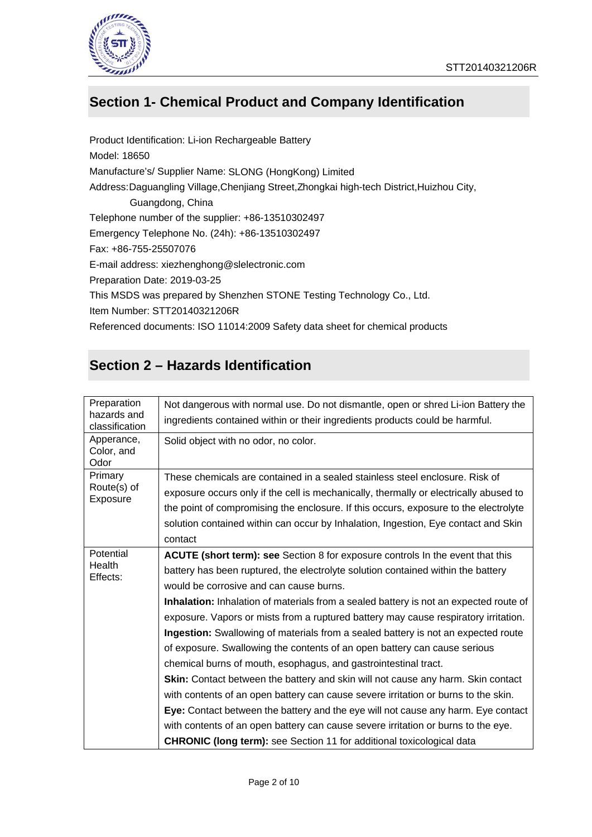

### **Section 1- Chemical Product and Company Identification**

Emergency Telephone No. (24h): +86-13510302497 Telephone number of the supplier: +86-13510302497 Preparation Date: 2019-03-25 E-mail address: xiezhenghong@slelectronic.com Manufacture's/ Supplier Name: SLONG (HongKong) Limited Address: Daguangling Village, Chenjiang Street, Zhongkai high-tech District, Huizhou City, Product Identification: Li-ion Rechargeable Battery Model: 18650 Fax: +86-755-25507076 This MSDS was prepared by Shenzhen STONE Testing Technology Co., Ltd. Item Number: STT20140321206R Referenced documents: ISO 11014:2009 Safety data sheet for chemical products Guangdong, China

### **Section 2 – Hazards Identification**

| Preparation<br>hazards and | Not dangerous with normal use. Do not dismantle, open or shred Li-ion Battery the<br>ingredients contained within or their ingredients products could be harmful. |
|----------------------------|-------------------------------------------------------------------------------------------------------------------------------------------------------------------|
| classification             |                                                                                                                                                                   |
| Apperance,                 | Solid object with no odor, no color.                                                                                                                              |
| Color, and                 |                                                                                                                                                                   |
| Odor<br>Primary            |                                                                                                                                                                   |
| Route(s) of                | These chemicals are contained in a sealed stainless steel enclosure. Risk of                                                                                      |
| Exposure                   | exposure occurs only if the cell is mechanically, thermally or electrically abused to                                                                             |
|                            | the point of compromising the enclosure. If this occurs, exposure to the electrolyte                                                                              |
|                            | solution contained within can occur by Inhalation, Ingestion, Eye contact and Skin                                                                                |
|                            | contact                                                                                                                                                           |
| Potential                  |                                                                                                                                                                   |
| Health                     | ACUTE (short term): see Section 8 for exposure controls In the event that this                                                                                    |
| Effects:                   | battery has been ruptured, the electrolyte solution contained within the battery                                                                                  |
|                            | would be corrosive and can cause burns.                                                                                                                           |
|                            | Inhalation: Inhalation of materials from a sealed battery is not an expected route of                                                                             |
|                            | exposure. Vapors or mists from a ruptured battery may cause respiratory irritation.                                                                               |
|                            | Ingestion: Swallowing of materials from a sealed battery is not an expected route                                                                                 |
|                            | of exposure. Swallowing the contents of an open battery can cause serious                                                                                         |
|                            | chemical burns of mouth, esophagus, and gastrointestinal tract.                                                                                                   |
|                            | Skin: Contact between the battery and skin will not cause any harm. Skin contact                                                                                  |
|                            | with contents of an open battery can cause severe irritation or burns to the skin.                                                                                |
|                            | Eye: Contact between the battery and the eye will not cause any harm. Eye contact                                                                                 |
|                            | with contents of an open battery can cause severe irritation or burns to the eye.                                                                                 |
|                            | <b>CHRONIC (long term):</b> see Section 11 for additional toxicological data                                                                                      |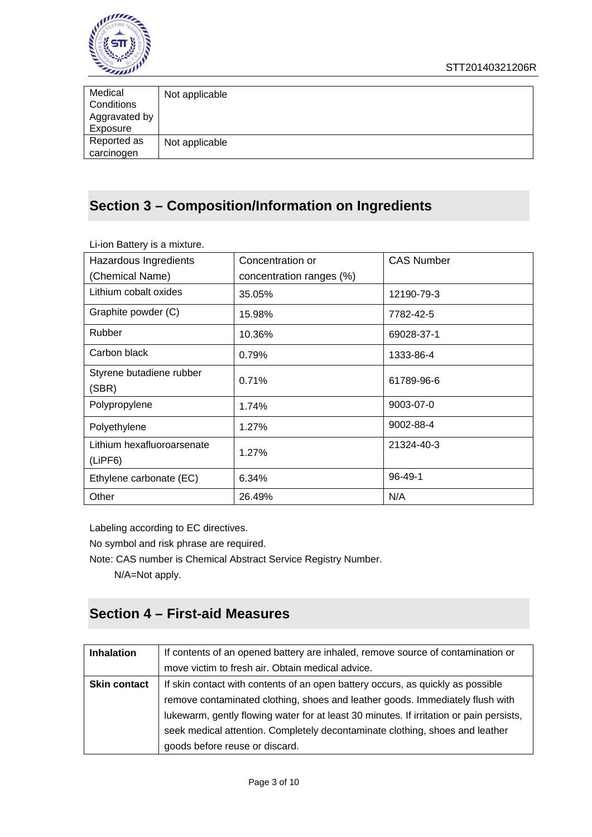

| Medical<br>Conditions<br>Aggravated by | Not applicable |
|----------------------------------------|----------------|
| Exposure                               |                |
| Reported as<br>carcinogen              | Not applicable |

### **Section 3 – Composition/Information on Ingredients**

| Li Ton Dattory is a mixture.          |                          |                   |
|---------------------------------------|--------------------------|-------------------|
| Hazardous Ingredients                 | Concentration or         | <b>CAS Number</b> |
| (Chemical Name)                       | concentration ranges (%) |                   |
| Lithium cobalt oxides                 | 35.05%                   | 12190-79-3        |
| Graphite powder (C)                   | 15.98%                   | 7782-42-5         |
| Rubber                                | 10.36%                   | 69028-37-1        |
| Carbon black                          | 0.79%                    | 1333-86-4         |
| Styrene butadiene rubber<br>(SBR)     | 0.71%                    | 61789-96-6        |
| Polypropylene                         | 1.74%                    | 9003-07-0         |
| Polyethylene                          | 1.27%                    | 9002-88-4         |
| Lithium hexafluoroarsenate<br>(LIPF6) | 1.27%                    | 21324-40-3        |
| Ethylene carbonate (EC)               | 6.34%                    | $96 - 49 - 1$     |
| Other                                 | 26.49%                   | N/A               |

Li-ion Battery is a mixture.

Labeling according to EC directives.

No symbol and risk phrase are required.

Note: CAS number is Chemical Abstract Service Registry Number.

N/A=Not apply.

### **Section 4 – First-aid Measures**

| <b>Inhalation</b>   | If contents of an opened battery are inhaled, remove source of contamination or         |
|---------------------|-----------------------------------------------------------------------------------------|
|                     | move victim to fresh air. Obtain medical advice.                                        |
| <b>Skin contact</b> | If skin contact with contents of an open battery occurs, as quickly as possible         |
|                     | remove contaminated clothing, shoes and leather goods. Immediately flush with           |
|                     | lukewarm, gently flowing water for at least 30 minutes. If irritation or pain persists, |
|                     | seek medical attention. Completely decontaminate clothing, shoes and leather            |
|                     | goods before reuse or discard.                                                          |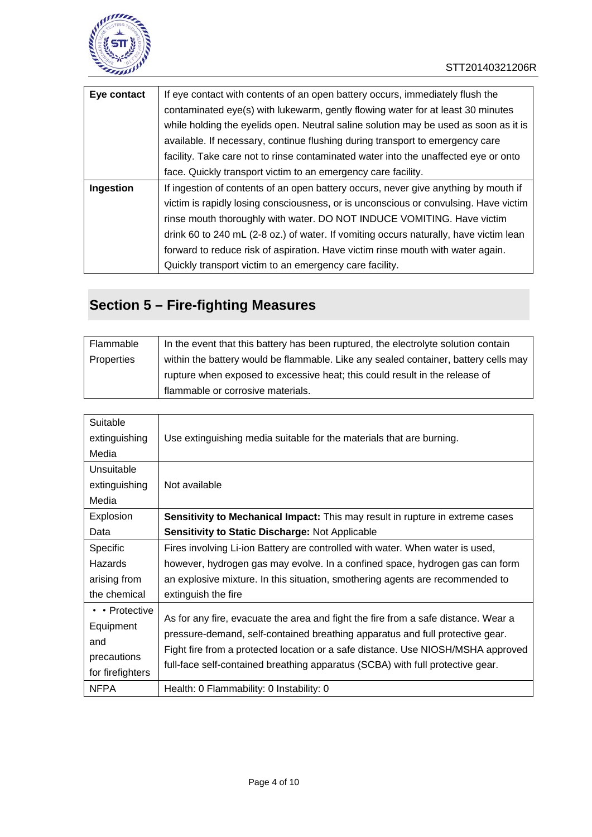

| Eye contact | If eye contact with contents of an open battery occurs, immediately flush the         |
|-------------|---------------------------------------------------------------------------------------|
|             | contaminated eye(s) with lukewarm, gently flowing water for at least 30 minutes       |
|             | while holding the eyelids open. Neutral saline solution may be used as soon as it is  |
|             | available. If necessary, continue flushing during transport to emergency care         |
|             | facility. Take care not to rinse contaminated water into the unaffected eye or onto   |
|             | face. Quickly transport victim to an emergency care facility.                         |
| Ingestion   | If ingestion of contents of an open battery occurs, never give anything by mouth if   |
|             | victim is rapidly losing consciousness, or is unconscious or convulsing. Have victim  |
|             | rinse mouth thoroughly with water. DO NOT INDUCE VOMITING. Have victim                |
|             | drink 60 to 240 mL (2-8 oz.) of water. If vomiting occurs naturally, have victim lean |
|             | forward to reduce risk of aspiration. Have victim rinse mouth with water again.       |
|             | Quickly transport victim to an emergency care facility.                               |

# **Section 5 – Fire-fighting Measures**

| Flammable  | In the event that this battery has been ruptured, the electrolyte solution contain  |
|------------|-------------------------------------------------------------------------------------|
| Properties | within the battery would be flammable. Like any sealed container, battery cells may |
|            | rupture when exposed to excessive heat; this could result in the release of         |
|            | flammable or corrosive materials.                                                   |

| Suitable             |                                                                                      |
|----------------------|--------------------------------------------------------------------------------------|
| extinguishing        | Use extinguishing media suitable for the materials that are burning.                 |
| Media                |                                                                                      |
| Unsuitable           |                                                                                      |
| extinguishing        | Not available                                                                        |
| Media                |                                                                                      |
| Explosion            | <b>Sensitivity to Mechanical Impact:</b> This may result in rupture in extreme cases |
| Data                 | Sensitivity to Static Discharge: Not Applicable                                      |
| Specific             | Fires involving Li-ion Battery are controlled with water. When water is used,        |
| Hazards              | however, hydrogen gas may evolve. In a confined space, hydrogen gas can form         |
| arising from         | an explosive mixture. In this situation, smothering agents are recommended to        |
| the chemical         | extinguish the fire                                                                  |
| $\cdot$ · Protective |                                                                                      |
| Equipment            | As for any fire, evacuate the area and fight the fire from a safe distance. Wear a   |
| and                  | pressure-demand, self-contained breathing apparatus and full protective gear.        |
| precautions          | Fight fire from a protected location or a safe distance. Use NIOSH/MSHA approved     |
| for firefighters     | full-face self-contained breathing apparatus (SCBA) with full protective gear.       |
| <b>NFPA</b>          | Health: 0 Flammability: 0 Instability: 0                                             |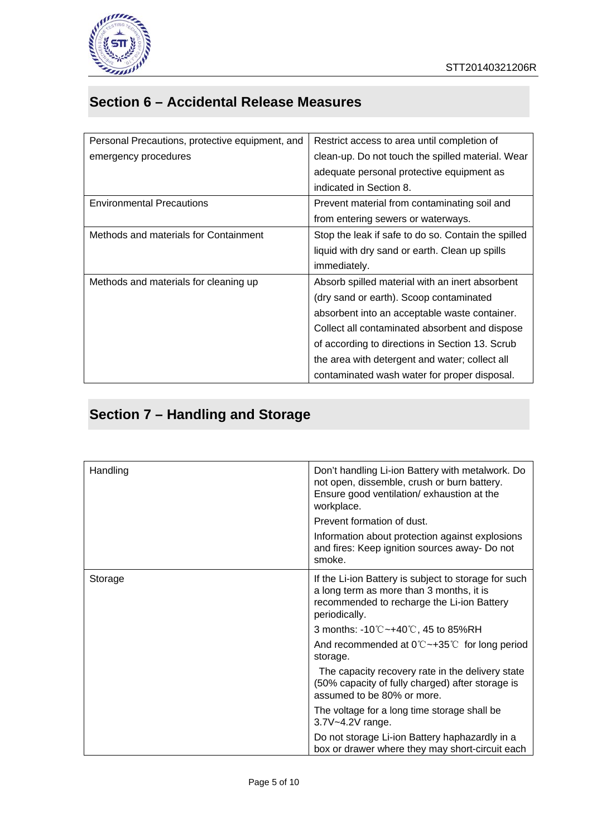

## **Section 6 – Accidental Release Measures**

| Personal Precautions, protective equipment, and | Restrict access to area until completion of         |
|-------------------------------------------------|-----------------------------------------------------|
|                                                 |                                                     |
| emergency procedures                            | clean-up. Do not touch the spilled material. Wear   |
|                                                 | adequate personal protective equipment as           |
|                                                 | indicated in Section 8.                             |
| <b>Environmental Precautions</b>                | Prevent material from contaminating soil and        |
|                                                 | from entering sewers or waterways.                  |
| Methods and materials for Containment           | Stop the leak if safe to do so. Contain the spilled |
|                                                 | liquid with dry sand or earth. Clean up spills      |
|                                                 | <i>immediately.</i>                                 |
| Methods and materials for cleaning up           | Absorb spilled material with an inert absorbent     |
|                                                 | (dry sand or earth). Scoop contaminated             |
|                                                 | absorbent into an acceptable waste container.       |
|                                                 | Collect all contaminated absorbent and dispose      |
|                                                 | of according to directions in Section 13. Scrub     |
|                                                 | the area with detergent and water; collect all      |
|                                                 | contaminated wash water for proper disposal.        |

# **Section 7 – Handling and Storage**

| Handling | Don't handling Li-ion Battery with metalwork. Do<br>not open, dissemble, crush or burn battery.<br>Ensure good ventilation/ exhaustion at the<br>workplace.     |
|----------|-----------------------------------------------------------------------------------------------------------------------------------------------------------------|
|          | Prevent formation of dust.                                                                                                                                      |
|          | Information about protection against explosions<br>and fires: Keep ignition sources away- Do not<br>smoke.                                                      |
| Storage  | If the Li-ion Battery is subject to storage for such<br>a long term as more than 3 months, it is<br>recommended to recharge the Li-ion Battery<br>periodically. |
|          | 3 months: -10℃~+40℃, 45 to 85%RH                                                                                                                                |
|          | And recommended at $0^{\circ}C \rightarrow 35^{\circ}C$ for long period<br>storage.                                                                             |
|          | The capacity recovery rate in the delivery state<br>(50% capacity of fully charged) after storage is<br>assumed to be 80% or more.                              |
|          | The voltage for a long time storage shall be<br>3.7V~4.2V range.                                                                                                |
|          | Do not storage Li-ion Battery haphazardly in a<br>box or drawer where they may short-circuit each                                                               |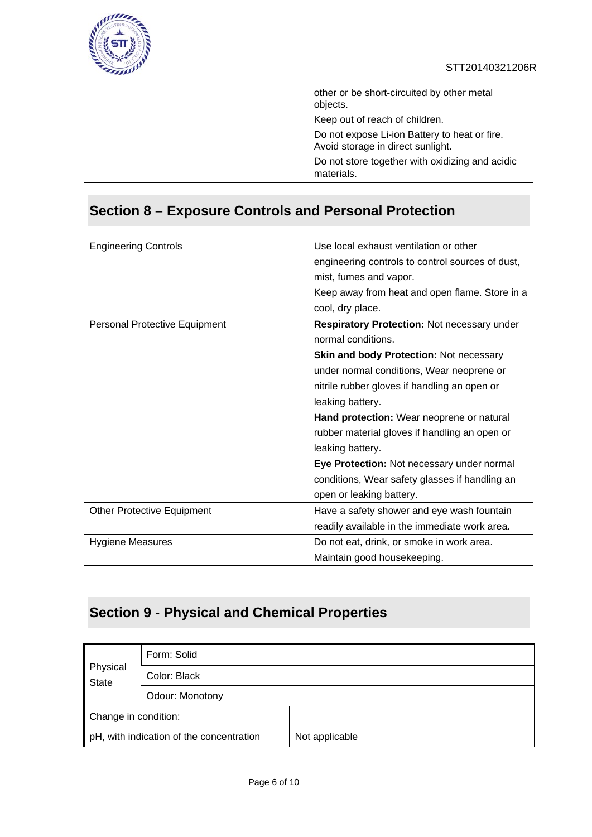

| other or be short-circuited by other metal<br>objects.                             |
|------------------------------------------------------------------------------------|
| Keep out of reach of children.                                                     |
| Do not expose Li-ion Battery to heat or fire.<br>Avoid storage in direct sunlight. |
| Do not store together with oxidizing and acidic<br>materials.                      |

## **Section 8 – Exposure Controls and Personal Protection**

| <b>Engineering Controls</b>       | Use local exhaust ventilation or other             |
|-----------------------------------|----------------------------------------------------|
|                                   | engineering controls to control sources of dust,   |
|                                   | mist, fumes and vapor.                             |
|                                   | Keep away from heat and open flame. Store in a     |
|                                   | cool, dry place.                                   |
| Personal Protective Equipment     | <b>Respiratory Protection: Not necessary under</b> |
|                                   | normal conditions.                                 |
|                                   | <b>Skin and body Protection: Not necessary</b>     |
|                                   | under normal conditions, Wear neoprene or          |
|                                   | nitrile rubber gloves if handling an open or       |
|                                   | leaking battery.                                   |
|                                   | Hand protection: Wear neoprene or natural          |
|                                   | rubber material gloves if handling an open or      |
|                                   |                                                    |
|                                   | leaking battery.                                   |
|                                   | Eye Protection: Not necessary under normal         |
|                                   | conditions, Wear safety glasses if handling an     |
|                                   | open or leaking battery.                           |
| <b>Other Protective Equipment</b> | Have a safety shower and eye wash fountain         |
|                                   | readily available in the immediate work area.      |
| <b>Hygiene Measures</b>           | Do not eat, drink, or smoke in work area.          |
|                                   | Maintain good housekeeping.                        |

## **Section 9 - Physical and Chemical Properties**

| Physical<br><b>State</b>                 | Form: Solid     |                |
|------------------------------------------|-----------------|----------------|
|                                          | Color: Black    |                |
|                                          | Odour: Monotony |                |
| Change in condition:                     |                 |                |
| pH, with indication of the concentration |                 | Not applicable |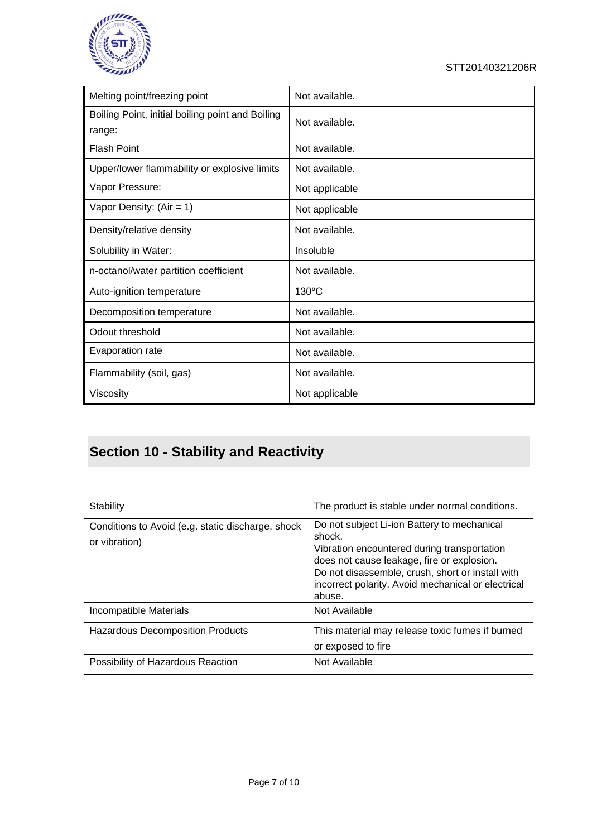

STT20140321206R

| Melting point/freezing point                               | Not available.  |
|------------------------------------------------------------|-----------------|
| Boiling Point, initial boiling point and Boiling<br>range: | Not available.  |
| <b>Flash Point</b>                                         | Not available.  |
| Upper/lower flammability or explosive limits               | Not available.  |
| Vapor Pressure:                                            | Not applicable  |
| Vapor Density: $(Air = 1)$                                 | Not applicable  |
| Density/relative density                                   | Not available.  |
| Solubility in Water:                                       | Insoluble       |
| n-octanol/water partition coefficient                      | Not available.  |
| Auto-ignition temperature                                  | $130^{\circ}$ C |
| Decomposition temperature                                  | Not available.  |
| Odout threshold                                            | Not available.  |
| Evaporation rate                                           | Not available.  |
| Flammability (soil, gas)                                   | Not available.  |
| Viscosity                                                  | Not applicable  |

# **Section 10 - Stability and Reactivity**

| Stability                                                          | The product is stable under normal conditions.                                                                                                                                                                                                                         |
|--------------------------------------------------------------------|------------------------------------------------------------------------------------------------------------------------------------------------------------------------------------------------------------------------------------------------------------------------|
| Conditions to Avoid (e.g. static discharge, shock<br>or vibration) | Do not subject Li-ion Battery to mechanical<br>shock.<br>Vibration encountered during transportation<br>does not cause leakage, fire or explosion.<br>Do not disassemble, crush, short or install with<br>incorrect polarity. Avoid mechanical or electrical<br>abuse. |
| Incompatible Materials                                             | Not Available                                                                                                                                                                                                                                                          |
| <b>Hazardous Decomposition Products</b>                            | This material may release toxic fumes if burned<br>or exposed to fire                                                                                                                                                                                                  |
| Possibility of Hazardous Reaction                                  | Not Available                                                                                                                                                                                                                                                          |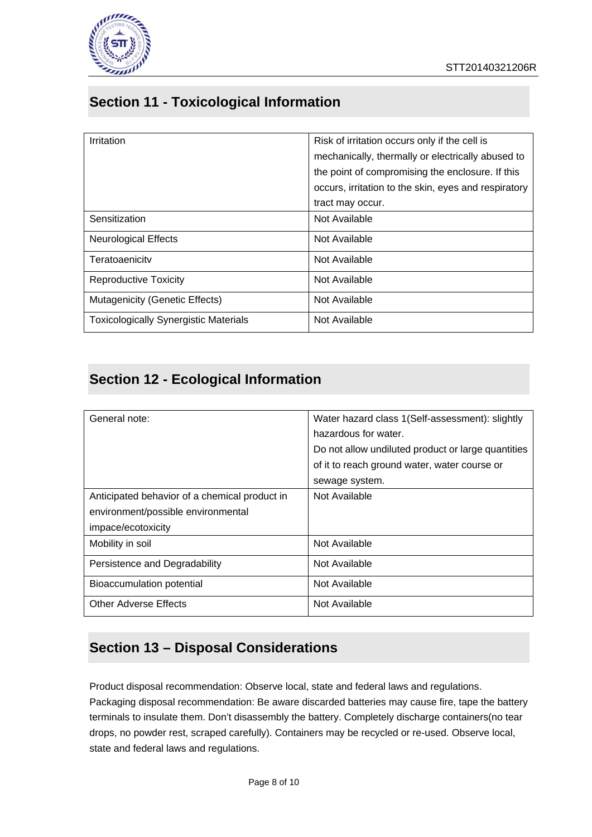

### **Section 11 - Toxicological Information**

| Irritation                                   | Risk of irritation occurs only if the cell is        |
|----------------------------------------------|------------------------------------------------------|
|                                              | mechanically, thermally or electrically abused to    |
|                                              | the point of compromising the enclosure. If this     |
|                                              | occurs, irritation to the skin, eyes and respiratory |
|                                              | tract may occur.                                     |
| Sensitization                                | Not Available                                        |
| <b>Neurological Effects</b>                  | Not Available                                        |
| Teratoaenicity                               | Not Available                                        |
| <b>Reproductive Toxicity</b>                 | Not Available                                        |
| Mutagenicity (Genetic Effects)               | Not Available                                        |
| <b>Toxicologically Synergistic Materials</b> | Not Available                                        |

### **Section 12 - Ecological Information**

| General note:                                 | Water hazard class 1(Self-assessment): slightly    |
|-----------------------------------------------|----------------------------------------------------|
|                                               | hazardous for water.                               |
|                                               | Do not allow undiluted product or large quantities |
|                                               | of it to reach ground water, water course or       |
|                                               | sewage system.                                     |
| Anticipated behavior of a chemical product in | Not Available                                      |
| environment/possible environmental            |                                                    |
| impace/ecotoxicity                            |                                                    |
| Mobility in soil                              | Not Available                                      |
| Persistence and Degradability                 | Not Available                                      |
| Bioaccumulation potential                     | Not Available                                      |
| <b>Other Adverse Effects</b>                  | Not Available                                      |

### **Section 13 – Disposal Considerations**

Product disposal recommendation: Observe local, state and federal laws and regulations. Packaging disposal recommendation: Be aware discarded batteries may cause fire, tape the battery terminals to insulate them. Don't disassembly the battery. Completely discharge containers(no tear drops, no powder rest, scraped carefully). Containers may be recycled or re-used. Observe local, state and federal laws and regulations.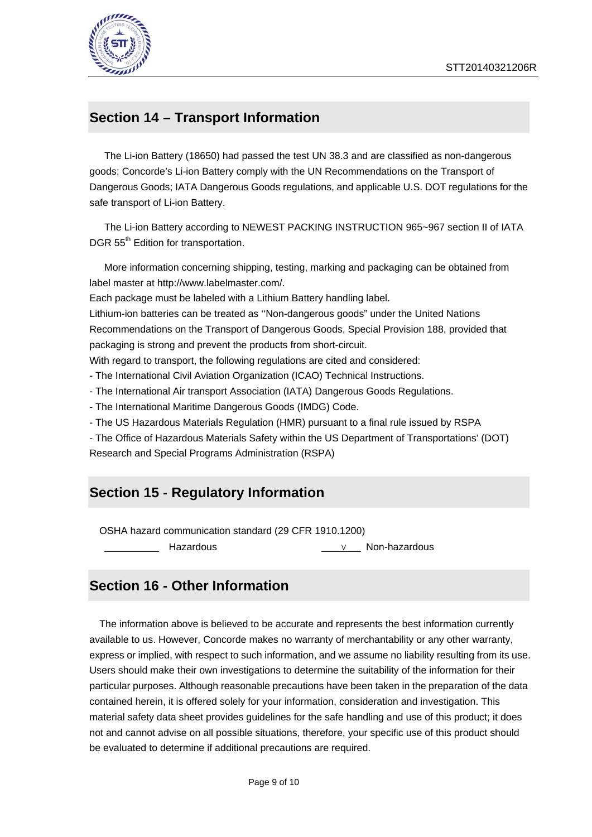

#### **Section 14 – Transport Information**

The Li-ion Battery (18650) had passed the test UN 38.3 and are classified as non-dangerous goods; Concorde's Li-ion Battery comply with the UN Recommendations on the Transport of Dangerous Goods; IATA Dangerous Goods regulations, and applicable U.S. DOT regulations for the safe transport of Li-ion Battery.

The Li-ion Battery according to NEWEST PACKING INSTRUCTION 965~967 section II of IATA DGR 55<sup>th</sup> Edition for transportation.

 More information concerning shipping, testing, marking and packaging can be obtained from label master at http://www.labelmaster.com/.

Each package must be labeled with a Lithium Battery handling label.

Lithium-ion batteries can be treated as ''Non-dangerous goods" under the United Nations Recommendations on the Transport of Dangerous Goods, Special Provision 188, provided that packaging is strong and prevent the products from short-circuit.

With regard to transport, the following regulations are cited and considered:

- The International Civil Aviation Organization (ICAO) Technical Instructions.

- The International Air transport Association (IATA) Dangerous Goods Regulations.

- The International Maritime Dangerous Goods (IMDG) Code.

- The US Hazardous Materials Regulation (HMR) pursuant to a final rule issued by RSPA

- The Office of Hazardous Materials Safety within the US Department of Transportations' (DOT) Research and Special Programs Administration (RSPA)

#### **Section 15 - Regulatory Information**

OSHA hazard communication standard (29 CFR 1910.1200)

Hazardous ∨ Non-hazardous

#### **Section 16 - Other Information**

The information above is believed to be accurate and represents the best information currently available to us. However, Concorde makes no warranty of merchantability or any other warranty, express or implied, with respect to such information, and we assume no liability resulting from its use. Users should make their own investigations to determine the suitability of the information for their particular purposes. Although reasonable precautions have been taken in the preparation of the data contained herein, it is offered solely for your information, consideration and investigation. This material safety data sheet provides guidelines for the safe handling and use of this product; it does not and cannot advise on all possible situations, therefore, your specific use of this product should be evaluated to determine if additional precautions are required.